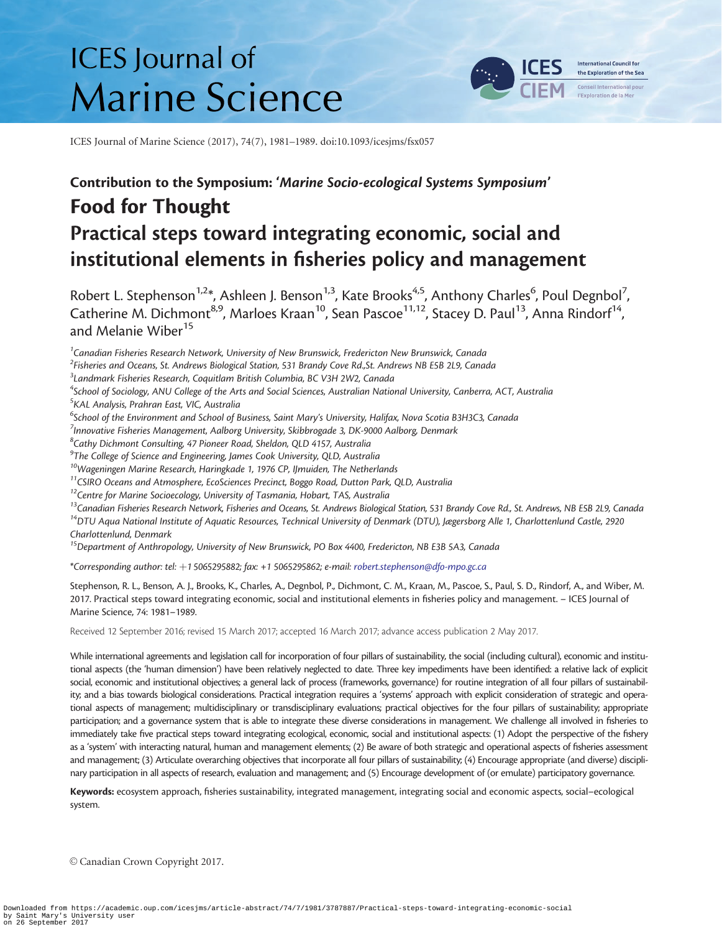# **ICES** Journal of **Marine Science**



ICES Journal of Marine Science (2017), 74(7), 1981–1989. doi:10.1093/icesjms/fsx057

# Contribution to the Symposium: 'Marine Socio-ecological Systems Symposium' Food for Thought Practical steps toward integrating economic, social and institutional elements in fisheries policy and management

Robert L. Stephenson $^{1,2*}$ , Ashleen J. Benson $^{1,3}$ , Kate Brooks $^{4,5}$ , Anthony Charles $^6$ , Poul Degnbol $^7$ , Catherine M. Dichmont<sup>8,9</sup>, Marloes Kraan<sup>10</sup>, Sean Pascoe<sup>11,12</sup>, Stacey D. Paul<sup>13</sup>, Anna Rindorf<sup>14</sup>, and Melanie Wiber<sup>15</sup>

 $^{\text{1}}$ Canadian Fisheries Research Network, University of New Brunswick, Fredericton New Brunswick, Canada

 $^2$ Fisheries and Oceans, St. Andrews Biological Station, 531 Brandy Cove Rd.,St. Andrews NB E5B 2L9, Canada

 $3$ Landmark Fisheries Research, Coquitlam British Columbia, BC V3H 2W2, Canada

<sup>4</sup>School of Sociology, ANU College of the Arts and Social Sciences, Australian National University, Canberra, ACT, Australia

5 KAL Analysis, Prahran East, VIC, Australia

- <sup>6</sup>School of the Environment and School of Business, Saint Mary's University, Halifax, Nova Scotia B3H3C3, Canada
- <sup>7</sup>Innovative Fisheries Management, Aalborg University, Skibbrogade 3, DK-9000 Aalborg, Denmark

8 Cathy Dichmont Consulting, 47 Pioneer Road, Sheldon, QLD 4157, Australia

<sup>9</sup>The College of Science and Engineering, James Cook University, QLD, Australia

<sup>10</sup>Wageningen Marine Research, Haringkade 1, 1976 CP, IJmuiden, The Netherlands

<sup>11</sup>CSIRO Oceans and Atmosphere, EcoSciences Precinct, Boggo Road, Dutton Park, QLD, Australia

 $12$ Centre for Marine Socioecology, University of Tasmania, Hobart, TAS, Australia

<sup>13</sup>Canadian Fisheries Research Network, Fisheries and Oceans, St. Andrews Biological Station, 531 Brandy Cove Rd., St. Andrews, NB E5B 2L9, Canada

 $14$ DTU Aqua National Institute of Aquatic Resources, Technical University of Denmark (DTU), Jægersborg Alle 1, Charlottenlund Castle, 2920 Charlottenlund, Denmark

<sup>15</sup>Department of Anthropology, University of New Brunswick, PO Box 4400, Fredericton, NB E3B 5A3, Canada

\*Corresponding author: tel: þ1 5065295882; fax: +1 5065295862; e-mail: [robert.stephenson@dfo-mpo.gc.ca](mailto:robert.stephenson@dfo-mpo.gc.ca)

Stephenson, R. L., Benson, A. J., Brooks, K., Charles, A., Degnbol, P., Dichmont, C. M., Kraan, M., Pascoe, S., Paul, S. D., Rindorf, A., and Wiber, M. 2017. Practical steps toward integrating economic, social and institutional elements in fisheries policy and management. – ICES Journal of Marine Science, 74: 1981–1989.

Received 12 September 2016; revised 15 March 2017; accepted 16 March 2017; advance access publication 2 May 2017.

While international agreements and legislation call for incorporation of four pillars of sustainability, the social (including cultural), economic and institutional aspects (the 'human dimension') have been relatively neglected to date. Three key impediments have been identified: a relative lack of explicit social, economic and institutional objectives; a general lack of process (frameworks, governance) for routine integration of all four pillars of sustainability; and a bias towards biological considerations. Practical integration requires a 'systems' approach with explicit consideration of strategic and operational aspects of management; multidisciplinary or transdisciplinary evaluations; practical objectives for the four pillars of sustainability; appropriate participation; and a governance system that is able to integrate these diverse considerations in management. We challenge all involved in fisheries to immediately take five practical steps toward integrating ecological, economic, social and institutional aspects: (1) Adopt the perspective of the fishery as a 'system' with interacting natural, human and management elements; (2) Be aware of both strategic and operational aspects of fisheries assessment and management; (3) Articulate overarching objectives that incorporate all four pillars of sustainability; (4) Encourage appropriate (and diverse) disciplinary participation in all aspects of research, evaluation and management; and (5) Encourage development of (or emulate) participatory governance.

Keywords: ecosystem approach, fisheries sustainability, integrated management, integrating social and economic aspects, social-ecological system.

© Canadian Crown Copyright 2017.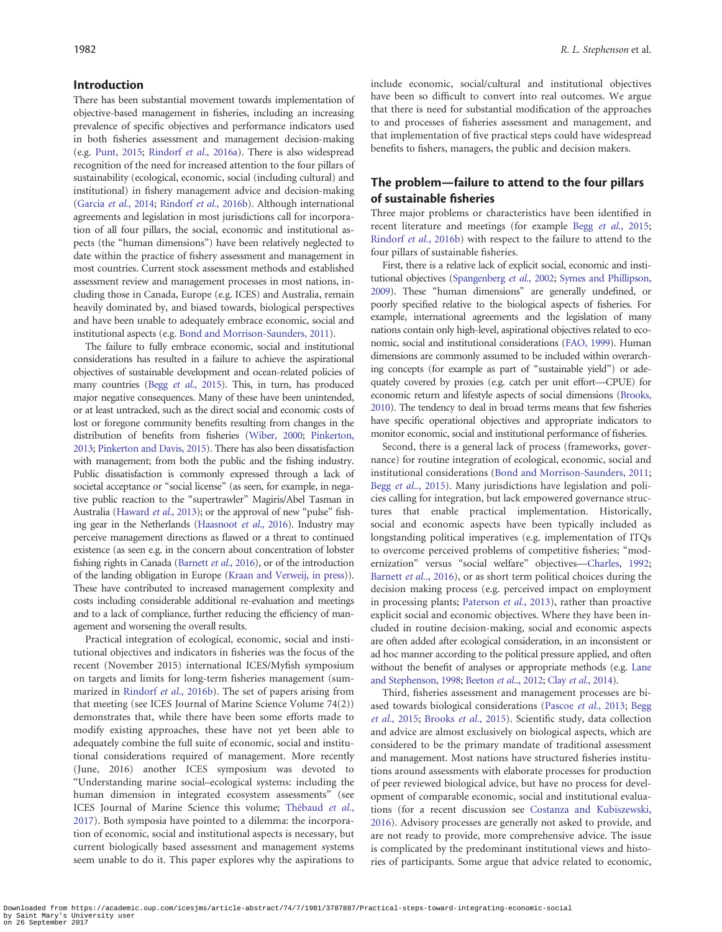#### Introduction

There has been substantial movement towards implementation of objective-based management in fisheries, including an increasing prevalence of specific objectives and performance indicators used in both fisheries assessment and management decision-making (e.g. [Punt, 2015;](#page-8-0) [Rindorf](#page-8-0) et al., 2016a). There is also widespread recognition of the need for increased attention to the four pillars of sustainability (ecological, economic, social (including cultural) and institutional) in fishery management advice and decision-making ([Garcia](#page-7-0) et al., 2014; [Rindorf](#page-8-0) et al., 2016b). Although international agreements and legislation in most jurisdictions call for incorporation of all four pillars, the social, economic and institutional aspects (the "human dimensions") have been relatively neglected to date within the practice of fishery assessment and management in most countries. Current stock assessment methods and established assessment review and management processes in most nations, including those in Canada, Europe (e.g. ICES) and Australia, remain heavily dominated by, and biased towards, biological perspectives and have been unable to adequately embrace economic, social and institutional aspects (e.g. [Bond and Morrison-Saunders, 2011\)](#page-6-0).

The failure to fully embrace economic, social and institutional considerations has resulted in a failure to achieve the aspirational objectives of sustainable development and ocean-related policies of many countries (Begg et al.[, 2015\)](#page-6-0). This, in turn, has produced major negative consequences. Many of these have been unintended, or at least untracked, such as the direct social and economic costs of lost or foregone community benefits resulting from changes in the distribution of benefits from fisheries [\(Wiber, 2000;](#page-8-0) [Pinkerton,](#page-8-0) [2013;](#page-8-0) [Pinkerton and Davis, 2015\)](#page-8-0). There has also been dissatisfaction with management; from both the public and the fishing industry. Public dissatisfaction is commonly expressed through a lack of societal acceptance or "social license" (as seen, for example, in negative public reaction to the "supertrawler" Magiris/Abel Tasman in Australia [\(Haward](#page-7-0) et al., 2013); or the approval of new "pulse" fishing gear in the Netherlands ([Haasnoot](#page-7-0) et al., 2016). Industry may perceive management directions as flawed or a threat to continued existence (as seen e.g. in the concern about concentration of lobster fishing rights in Canada [\(Barnett](#page-6-0) et al., 2016), or of the introduction of the landing obligation in Europe [\(Kraan and Verweij, in press\)](#page-7-0)). These have contributed to increased management complexity and costs including considerable additional re-evaluation and meetings and to a lack of compliance, further reducing the efficiency of management and worsening the overall results.

Practical integration of ecological, economic, social and institutional objectives and indicators in fisheries was the focus of the recent (November 2015) international ICES/Myfish symposium on targets and limits for long-term fisheries management (summarized in [Rindorf](#page-8-0) et al., 2016b). The set of papers arising from that meeting (see ICES Journal of Marine Science Volume 74(2)) demonstrates that, while there have been some efforts made to modify existing approaches, these have not yet been able to adequately combine the full suite of economic, social and institutional considerations required of management. More recently (June, 2016) another ICES symposium was devoted to "Understanding marine social–ecological systems: including the human dimension in integrated ecosystem assessments" (see ICES Journal of Marine Science this volume; Thébaud et al., [2017\)](#page-8-0). Both symposia have pointed to a dilemma: the incorporation of economic, social and institutional aspects is necessary, but current biologically based assessment and management systems seem unable to do it. This paper explores why the aspirations to include economic, social/cultural and institutional objectives have been so difficult to convert into real outcomes. We argue that there is need for substantial modification of the approaches to and processes of fisheries assessment and management, and that implementation of five practical steps could have widespread benefits to fishers, managers, the public and decision makers.

# The problem—failure to attend to the four pillars of sustainable fisheries

Three major problems or characteristics have been identified in recent literature and meetings (for example Begg et al.[, 2015;](#page-6-0) [Rindorf](#page-8-0) et al., 2016b) with respect to the failure to attend to the four pillars of sustainable fisheries.

First, there is a relative lack of explicit social, economic and institutional objectives [\(Spangenberg](#page-8-0) et al., 2002; [Symes and Phillipson,](#page-8-0) [2009\)](#page-8-0). These "human dimensions" are generally undefined, or poorly specified relative to the biological aspects of fisheries. For example, international agreements and the legislation of many nations contain only high-level, aspirational objectives related to economic, social and institutional considerations ([FAO, 1999\)](#page-7-0). Human dimensions are commonly assumed to be included within overarching concepts (for example as part of "sustainable yield") or adequately covered by proxies (e.g. catch per unit effort—CPUE) for economic return and lifestyle aspects of social dimensions [\(Brooks,](#page-6-0) [2010\)](#page-6-0). The tendency to deal in broad terms means that few fisheries have specific operational objectives and appropriate indicators to monitor economic, social and institutional performance of fisheries.

Second, there is a general lack of process (frameworks, governance) for routine integration of ecological, economic, social and institutional considerations ([Bond and Morrison-Saunders, 2011;](#page-6-0) Begg et al.[., 2015\)](#page-6-0). Many jurisdictions have legislation and policies calling for integration, but lack empowered governance structures that enable practical implementation. Historically, social and economic aspects have been typically included as longstanding political imperatives (e.g. implementation of ITQs to overcome perceived problems of competitive fisheries; "modernization" versus "social welfare" objectives[—Charles, 1992;](#page-6-0) [Barnett](#page-6-0) et al.., 2016), or as short term political choices during the decision making process (e.g. perceived impact on employment in processing plants; [Paterson](#page-8-0) et al., 2013), rather than proactive explicit social and economic objectives. Where they have been included in routine decision-making, social and economic aspects are often added after ecological consideration, in an inconsistent or ad hoc manner according to the political pressure applied, and often without the benefit of analyses or appropriate methods (e.g. [Lane](#page-7-0) [and Stephenson, 1998;](#page-7-0) [Beeton](#page-6-0) et al.., 2012; Clay et al.[, 2014\)](#page-7-0).

Third, fisheries assessment and management processes are biased towards biological considerations [\(Pascoe](#page-7-0) et al., 2013; [Begg](#page-6-0) et al.[, 2015](#page-6-0); [Brooks](#page-6-0) et al., 2015). Scientific study, data collection and advice are almost exclusively on biological aspects, which are considered to be the primary mandate of traditional assessment and management. Most nations have structured fisheries institutions around assessments with elaborate processes for production of peer reviewed biological advice, but have no process for development of comparable economic, social and institutional evaluations (for a recent discussion see [Costanza and Kubiszewski,](#page-7-0) [2016\)](#page-7-0). Advisory processes are generally not asked to provide, and are not ready to provide, more comprehensive advice. The issue is complicated by the predominant institutional views and histories of participants. Some argue that advice related to economic,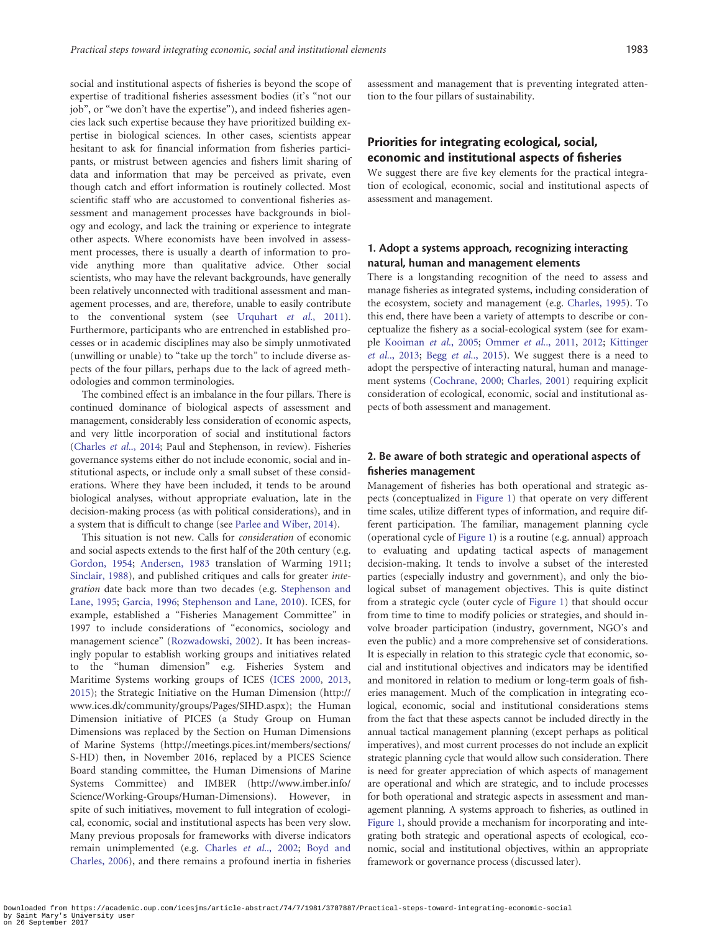social and institutional aspects of fisheries is beyond the scope of expertise of traditional fisheries assessment bodies (it's "not our job", or "we don't have the expertise"), and indeed fisheries agencies lack such expertise because they have prioritized building expertise in biological sciences. In other cases, scientists appear hesitant to ask for financial information from fisheries participants, or mistrust between agencies and fishers limit sharing of data and information that may be perceived as private, even though catch and effort information is routinely collected. Most scientific staff who are accustomed to conventional fisheries assessment and management processes have backgrounds in biology and ecology, and lack the training or experience to integrate other aspects. Where economists have been involved in assessment processes, there is usually a dearth of information to provide anything more than qualitative advice. Other social scientists, who may have the relevant backgrounds, have generally been relatively unconnected with traditional assessment and management processes, and are, therefore, unable to easily contribute to the conventional system (see [Urquhart](#page-8-0) et al., 2011). Furthermore, participants who are entrenched in established processes or in academic disciplines may also be simply unmotivated (unwilling or unable) to "take up the torch" to include diverse aspects of the four pillars, perhaps due to the lack of agreed methodologies and common terminologies.

The combined effect is an imbalance in the four pillars. There is continued dominance of biological aspects of assessment and management, considerably less consideration of economic aspects, and very little incorporation of social and institutional factors ([Charles](#page-7-0) et al.., 2014; Paul and Stephenson, in review). Fisheries governance systems either do not include economic, social and institutional aspects, or include only a small subset of these considerations. Where they have been included, it tends to be around biological analyses, without appropriate evaluation, late in the decision-making process (as with political considerations), and in a system that is difficult to change (see [Parlee and Wiber, 2014\)](#page-7-0).

This situation is not new. Calls for consideration of economic and social aspects extends to the first half of the 20th century (e.g. [Gordon, 1954](#page-7-0); [Andersen, 1983](#page-6-0) translation of Warming 1911; [Sinclair, 1988\)](#page-8-0), and published critiques and calls for greater integration date back more than two decades (e.g. [Stephenson and](#page-8-0) [Lane, 1995](#page-8-0); [Garcia, 1996;](#page-7-0) [Stephenson and Lane, 2010\)](#page-8-0). ICES, for example, established a "Fisheries Management Committee" in 1997 to include considerations of "economics, sociology and management science" [\(Rozwadowski, 2002](#page-8-0)). It has been increasingly popular to establish working groups and initiatives related to the "human dimension" e.g. Fisheries System and Maritime Systems working groups of ICES [\(ICES 2000,](#page-7-0) [2013,](#page-7-0) [2015\)](#page-7-0); the Strategic Initiative on the Human Dimension ([http://](http://www.ices.dk/community/groups/Pages/SIHD.aspx) [www.ices.dk/community/groups/Pages/SIHD.aspx](http://www.ices.dk/community/groups/Pages/SIHD.aspx)); the Human Dimension initiative of PICES (a Study Group on Human Dimensions was replaced by the Section on Human Dimensions of Marine Systems [\(http://meetings.pices.int/members/sections/](http://meetings.pices.int/members/sections/S-HD) [S-HD\)](http://meetings.pices.int/members/sections/S-HD) then, in November 2016, replaced by a PICES Science Board standing committee, the Human Dimensions of Marine Systems Committee) and IMBER [\(http://www.imber.info/](http://www.imber.info/Science/Working-Groups/Human-Dimensions) [Science/Working-Groups/Human-Dimensions](http://www.imber.info/Science/Working-Groups/Human-Dimensions)). However, in spite of such initiatives, movement to full integration of ecological, economic, social and institutional aspects has been very slow. Many previous proposals for frameworks with diverse indicators remain unimplemented (e.g. [Charles](#page-6-0) et al.., 2002; [Boyd and](#page-6-0) [Charles, 2006\)](#page-6-0), and there remains a profound inertia in fisheries

assessment and management that is preventing integrated attention to the four pillars of sustainability.

### Priorities for integrating ecological, social, economic and institutional aspects of fisheries

We suggest there are five key elements for the practical integration of ecological, economic, social and institutional aspects of assessment and management.

#### 1. Adopt a systems approach, recognizing interacting natural, human and management elements

There is a longstanding recognition of the need to assess and manage fisheries as integrated systems, including consideration of the ecosystem, society and management (e.g. [Charles, 1995](#page-6-0)). To this end, there have been a variety of attempts to describe or conceptualize the fishery as a social-ecological system (see for example [Kooiman](#page-7-0) et al., 2005; [Ommer](#page-7-0) et al.., 2011, [2012;](#page-7-0) [Kittinger](#page-7-0) et al.[., 2013;](#page-7-0) Begg et al.[., 2015\)](#page-6-0). We suggest there is a need to adopt the perspective of interacting natural, human and management systems ([Cochrane, 2000](#page-7-0); [Charles, 2001](#page-6-0)) requiring explicit consideration of ecological, economic, social and institutional aspects of both assessment and management.

#### 2. Be aware of both strategic and operational aspects of fisheries management

Management of fisheries has both operational and strategic aspects (conceptualized in [Figure 1](#page-3-0)) that operate on very different time scales, utilize different types of information, and require different participation. The familiar, management planning cycle (operational cycle of [Figure 1](#page-3-0)) is a routine (e.g. annual) approach to evaluating and updating tactical aspects of management decision-making. It tends to involve a subset of the interested parties (especially industry and government), and only the biological subset of management objectives. This is quite distinct from a strategic cycle (outer cycle of [Figure 1\)](#page-3-0) that should occur from time to time to modify policies or strategies, and should involve broader participation (industry, government, NGO's and even the public) and a more comprehensive set of considerations. It is especially in relation to this strategic cycle that economic, social and institutional objectives and indicators may be identified and monitored in relation to medium or long-term goals of fisheries management. Much of the complication in integrating ecological, economic, social and institutional considerations stems from the fact that these aspects cannot be included directly in the annual tactical management planning (except perhaps as political imperatives), and most current processes do not include an explicit strategic planning cycle that would allow such consideration. There is need for greater appreciation of which aspects of management are operational and which are strategic, and to include processes for both operational and strategic aspects in assessment and management planning. A systems approach to fisheries, as outlined in [Figure 1](#page-3-0), should provide a mechanism for incorporating and integrating both strategic and operational aspects of ecological, economic, social and institutional objectives, within an appropriate framework or governance process (discussed later).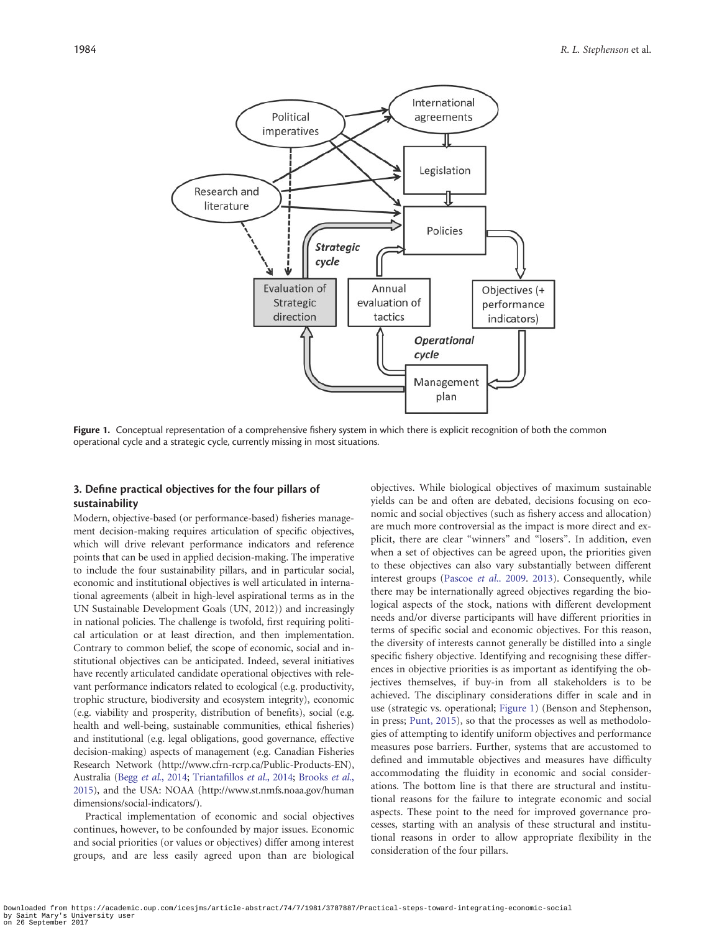<span id="page-3-0"></span>

Figure 1. Conceptual representation of a comprehensive fishery system in which there is explicit recognition of both the common operational cycle and a strategic cycle, currently missing in most situations.

#### 3. Define practical objectives for the four pillars of sustainability

Modern, objective-based (or performance-based) fisheries management decision-making requires articulation of specific objectives, which will drive relevant performance indicators and reference points that can be used in applied decision-making. The imperative to include the four sustainability pillars, and in particular social, economic and institutional objectives is well articulated in international agreements (albeit in high-level aspirational terms as in the UN Sustainable Development Goals (UN, 2012)) and increasingly in national policies. The challenge is twofold, first requiring political articulation or at least direction, and then implementation. Contrary to common belief, the scope of economic, social and institutional objectives can be anticipated. Indeed, several initiatives have recently articulated candidate operational objectives with relevant performance indicators related to ecological (e.g. productivity, trophic structure, biodiversity and ecosystem integrity), economic (e.g. viability and prosperity, distribution of benefits), social (e.g. health and well-being, sustainable communities, ethical fisheries) and institutional (e.g. legal obligations, good governance, effective decision-making) aspects of management (e.g. Canadian Fisheries Research Network [\(http://www.cfrn-rcrp.ca/Public-Products-EN](http://www.cfrn-rcrp.ca/Public-Products-EN)), Australia (Begg et al.[, 2014;](#page-6-0) [Triantafillos](#page-6-0) et al., 2014; [Brooks](#page-6-0) et al.[,](#page-6-0) [2015](#page-6-0)), and the USA: NOAA [\(http://www.st.nmfs.noaa.gov/human](http://www.st.nmfs.noaa.gov/humandimensions/social-indicators/) [dimensions/social-indicators/](http://www.st.nmfs.noaa.gov/humandimensions/social-indicators/)).

Practical implementation of economic and social objectives continues, however, to be confounded by major issues. Economic and social priorities (or values or objectives) differ among interest groups, and are less easily agreed upon than are biological

objectives. While biological objectives of maximum sustainable yields can be and often are debated, decisions focusing on economic and social objectives (such as fishery access and allocation) are much more controversial as the impact is more direct and explicit, there are clear "winners" and "losers". In addition, even when a set of objectives can be agreed upon, the priorities given to these objectives can also vary substantially between different interest groups ([Pascoe](#page-8-0) et al.. 2009. [2013](#page-8-0)). Consequently, while there may be internationally agreed objectives regarding the biological aspects of the stock, nations with different development needs and/or diverse participants will have different priorities in terms of specific social and economic objectives. For this reason, the diversity of interests cannot generally be distilled into a single specific fishery objective. Identifying and recognising these differences in objective priorities is as important as identifying the objectives themselves, if buy-in from all stakeholders is to be achieved. The disciplinary considerations differ in scale and in use (strategic vs. operational; Figure 1) (Benson and Stephenson, in press; [Punt, 2015](#page-8-0)), so that the processes as well as methodologies of attempting to identify uniform objectives and performance measures pose barriers. Further, systems that are accustomed to defined and immutable objectives and measures have difficulty accommodating the fluidity in economic and social considerations. The bottom line is that there are structural and institutional reasons for the failure to integrate economic and social aspects. These point to the need for improved governance processes, starting with an analysis of these structural and institutional reasons in order to allow appropriate flexibility in the consideration of the four pillars.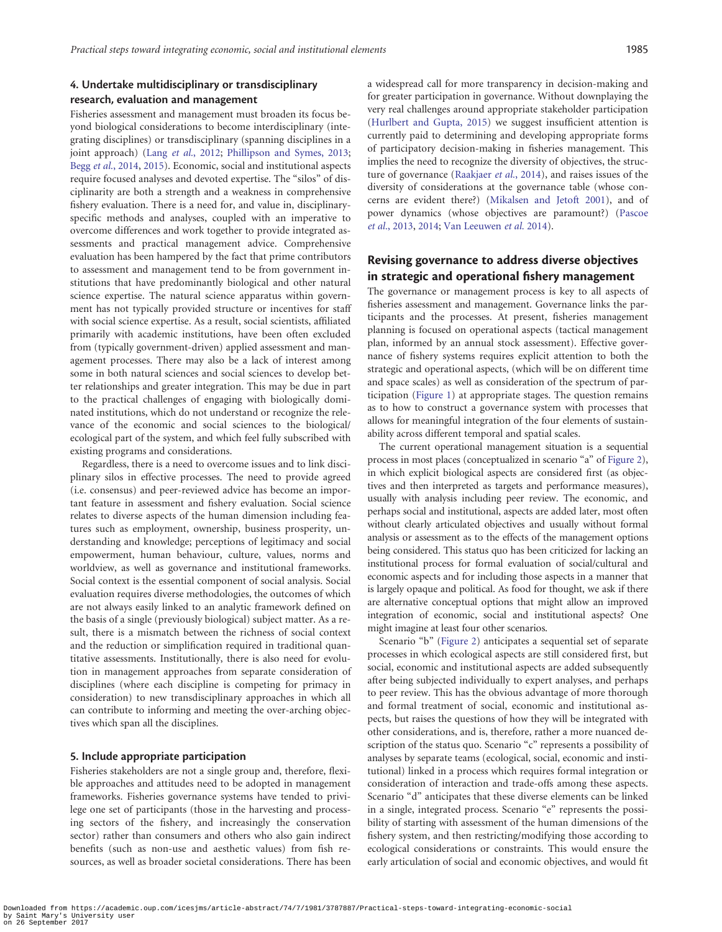#### 4. Undertake multidisciplinary or transdisciplinary research, evaluation and management

Fisheries assessment and management must broaden its focus beyond biological considerations to become interdisciplinary (integrating disciplines) or transdisciplinary (spanning disciplines in a joint approach) (Lang et al.[, 2012;](#page-7-0) [Phillipson and Symes, 2013;](#page-8-0) Begg et al.[, 2014,](#page-6-0) [2015](#page-6-0)). Economic, social and institutional aspects require focused analyses and devoted expertise. The "silos" of disciplinarity are both a strength and a weakness in comprehensive fishery evaluation. There is a need for, and value in, disciplinaryspecific methods and analyses, coupled with an imperative to overcome differences and work together to provide integrated assessments and practical management advice. Comprehensive evaluation has been hampered by the fact that prime contributors to assessment and management tend to be from government institutions that have predominantly biological and other natural science expertise. The natural science apparatus within government has not typically provided structure or incentives for staff with social science expertise. As a result, social scientists, affiliated primarily with academic institutions, have been often excluded from (typically government-driven) applied assessment and management processes. There may also be a lack of interest among some in both natural sciences and social sciences to develop better relationships and greater integration. This may be due in part to the practical challenges of engaging with biologically dominated institutions, which do not understand or recognize the relevance of the economic and social sciences to the biological/ ecological part of the system, and which feel fully subscribed with existing programs and considerations.

Regardless, there is a need to overcome issues and to link disciplinary silos in effective processes. The need to provide agreed (i.e. consensus) and peer-reviewed advice has become an important feature in assessment and fishery evaluation. Social science relates to diverse aspects of the human dimension including features such as employment, ownership, business prosperity, understanding and knowledge; perceptions of legitimacy and social empowerment, human behaviour, culture, values, norms and worldview, as well as governance and institutional frameworks. Social context is the essential component of social analysis. Social evaluation requires diverse methodologies, the outcomes of which are not always easily linked to an analytic framework defined on the basis of a single (previously biological) subject matter. As a result, there is a mismatch between the richness of social context and the reduction or simplification required in traditional quantitative assessments. Institutionally, there is also need for evolution in management approaches from separate consideration of disciplines (where each discipline is competing for primacy in consideration) to new transdisciplinary approaches in which all can contribute to informing and meeting the over-arching objectives which span all the disciplines.

#### 5. Include appropriate participation

Fisheries stakeholders are not a single group and, therefore, flexible approaches and attitudes need to be adopted in management frameworks. Fisheries governance systems have tended to privilege one set of participants (those in the harvesting and processing sectors of the fishery, and increasingly the conservation sector) rather than consumers and others who also gain indirect benefits (such as non-use and aesthetic values) from fish resources, as well as broader societal considerations. There has been

a widespread call for more transparency in decision-making and for greater participation in governance. Without downplaying the very real challenges around appropriate stakeholder participation [\(Hurlbert and Gupta, 2015](#page-7-0)) we suggest insufficient attention is currently paid to determining and developing appropriate forms of participatory decision-making in fisheries management. This implies the need to recognize the diversity of objectives, the struc-ture of governance ([Raakjaer](#page-8-0) et al., 2014), and raises issues of the diversity of considerations at the governance table (whose concerns are evident there?) ([Mikalsen and Jetoft 2001\)](#page-7-0), and of power dynamics (whose objectives are paramount?) ([Pascoe](#page-7-0) et al.[, 2013,](#page-7-0) [2014](#page-7-0); [Van Leeuwen](#page-8-0) et al. 2014).

## Revising governance to address diverse objectives in strategic and operational fishery management

The governance or management process is key to all aspects of fisheries assessment and management. Governance links the participants and the processes. At present, fisheries management planning is focused on operational aspects (tactical management plan, informed by an annual stock assessment). Effective governance of fishery systems requires explicit attention to both the strategic and operational aspects, (which will be on different time and space scales) as well as consideration of the spectrum of participation ([Figure 1](#page-3-0)) at appropriate stages. The question remains as to how to construct a governance system with processes that allows for meaningful integration of the four elements of sustainability across different temporal and spatial scales.

The current operational management situation is a sequential process in most places (conceptualized in scenario "a" of [Figure 2\)](#page-5-0), in which explicit biological aspects are considered first (as objectives and then interpreted as targets and performance measures), usually with analysis including peer review. The economic, and perhaps social and institutional, aspects are added later, most often without clearly articulated objectives and usually without formal analysis or assessment as to the effects of the management options being considered. This status quo has been criticized for lacking an institutional process for formal evaluation of social/cultural and economic aspects and for including those aspects in a manner that is largely opaque and political. As food for thought, we ask if there are alternative conceptual options that might allow an improved integration of economic, social and institutional aspects? One might imagine at least four other scenarios.

Scenario "b" [\(Figure 2](#page-5-0)) anticipates a sequential set of separate processes in which ecological aspects are still considered first, but social, economic and institutional aspects are added subsequently after being subjected individually to expert analyses, and perhaps to peer review. This has the obvious advantage of more thorough and formal treatment of social, economic and institutional aspects, but raises the questions of how they will be integrated with other considerations, and is, therefore, rather a more nuanced description of the status quo. Scenario "c" represents a possibility of analyses by separate teams (ecological, social, economic and institutional) linked in a process which requires formal integration or consideration of interaction and trade-offs among these aspects. Scenario "d" anticipates that these diverse elements can be linked in a single, integrated process. Scenario "e" represents the possibility of starting with assessment of the human dimensions of the fishery system, and then restricting/modifying those according to ecological considerations or constraints. This would ensure the early articulation of social and economic objectives, and would fit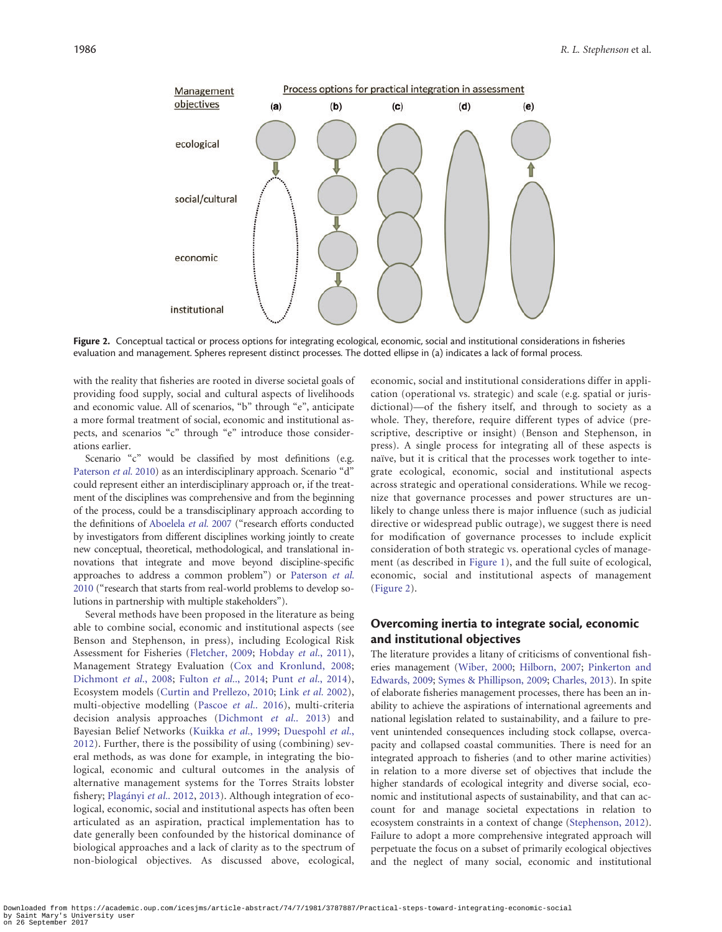<span id="page-5-0"></span>

Figure 2. Conceptual tactical or process options for integrating ecological, economic, social and institutional considerations in fisheries evaluation and management. Spheres represent distinct processes. The dotted ellipse in (a) indicates a lack of formal process.

with the reality that fisheries are rooted in diverse societal goals of providing food supply, social and cultural aspects of livelihoods and economic value. All of scenarios, "b" through "e", anticipate a more formal treatment of social, economic and institutional aspects, and scenarios "c" through "e" introduce those considerations earlier.

Scenario "c" would be classified by most definitions (e.g. [Paterson](#page-8-0) et al. 2010) as an interdisciplinary approach. Scenario "d" could represent either an interdisciplinary approach or, if the treatment of the disciplines was comprehensive and from the beginning of the process, could be a transdisciplinary approach according to the definitions of [Aboelela](#page-6-0) et al. 2007 ("research efforts conducted by investigators from different disciplines working jointly to create new conceptual, theoretical, methodological, and translational innovations that integrate and move beyond discipline-specific approaches to address a common problem") or [Paterson](#page-8-0) et al. [2010](#page-8-0) ("research that starts from real-world problems to develop solutions in partnership with multiple stakeholders").

Several methods have been proposed in the literature as being able to combine social, economic and institutional aspects (see Benson and Stephenson, in press), including Ecological Risk Assessment for Fisheries [\(Fletcher, 2009](#page-7-0); [Hobday](#page-7-0) et al., 2011), Management Strategy Evaluation ([Cox and Kronlund, 2008](#page-7-0); [Dichmont](#page-7-0) et al., 2008; Fulton et al.[., 2014](#page-7-0); Punt et al.[, 2014\)](#page-8-0), Ecosystem models [\(Curtin and Prellezo, 2010](#page-7-0); Link [et al.](#page-7-0) 2002), multi-objective modelling [\(Pascoe](#page-8-0) et al.. 2016), multi-criteria decision analysis approaches [\(Dichmont](#page-7-0) et al.. 2013) and Bayesian Belief Networks ([Kuikka](#page-7-0) et al., 1999; [Duespohl](#page-7-0) et al., [2012\)](#page-7-0). Further, there is the possibility of using (combining) several methods, as was done for example, in integrating the biological, economic and cultural outcomes in the analysis of alternative management systems for the Torres Straits lobster fishery; [Plag](#page-8-0)ányi et al.[. 2012,](#page-8-0) [2013\)](#page-8-0). Although integration of ecological, economic, social and institutional aspects has often been articulated as an aspiration, practical implementation has to date generally been confounded by the historical dominance of biological approaches and a lack of clarity as to the spectrum of non-biological objectives. As discussed above, ecological, economic, social and institutional considerations differ in application (operational vs. strategic) and scale (e.g. spatial or jurisdictional)—of the fishery itself, and through to society as a whole. They, therefore, require different types of advice (prescriptive, descriptive or insight) (Benson and Stephenson, in press). A single process for integrating all of these aspects is naïve, but it is critical that the processes work together to integrate ecological, economic, social and institutional aspects across strategic and operational considerations. While we recognize that governance processes and power structures are unlikely to change unless there is major influence (such as judicial directive or widespread public outrage), we suggest there is need for modification of governance processes to include explicit consideration of both strategic vs. operational cycles of management (as described in [Figure 1\)](#page-3-0), and the full suite of ecological, economic, social and institutional aspects of management (Figure 2).

## Overcoming inertia to integrate social, economic and institutional objectives

The literature provides a litany of criticisms of conventional fisheries management ([Wiber, 2000;](#page-8-0) [Hilborn, 2007](#page-7-0); [Pinkerton and](#page-8-0) [Edwards, 2009](#page-8-0); [Symes & Phillipson, 2009](#page-8-0); [Charles, 2013\)](#page-6-0). In spite of elaborate fisheries management processes, there has been an inability to achieve the aspirations of international agreements and national legislation related to sustainability, and a failure to prevent unintended consequences including stock collapse, overcapacity and collapsed coastal communities. There is need for an integrated approach to fisheries (and to other marine activities) in relation to a more diverse set of objectives that include the higher standards of ecological integrity and diverse social, economic and institutional aspects of sustainability, and that can account for and manage societal expectations in relation to ecosystem constraints in a context of change [\(Stephenson, 2012](#page-8-0)). Failure to adopt a more comprehensive integrated approach will perpetuate the focus on a subset of primarily ecological objectives and the neglect of many social, economic and institutional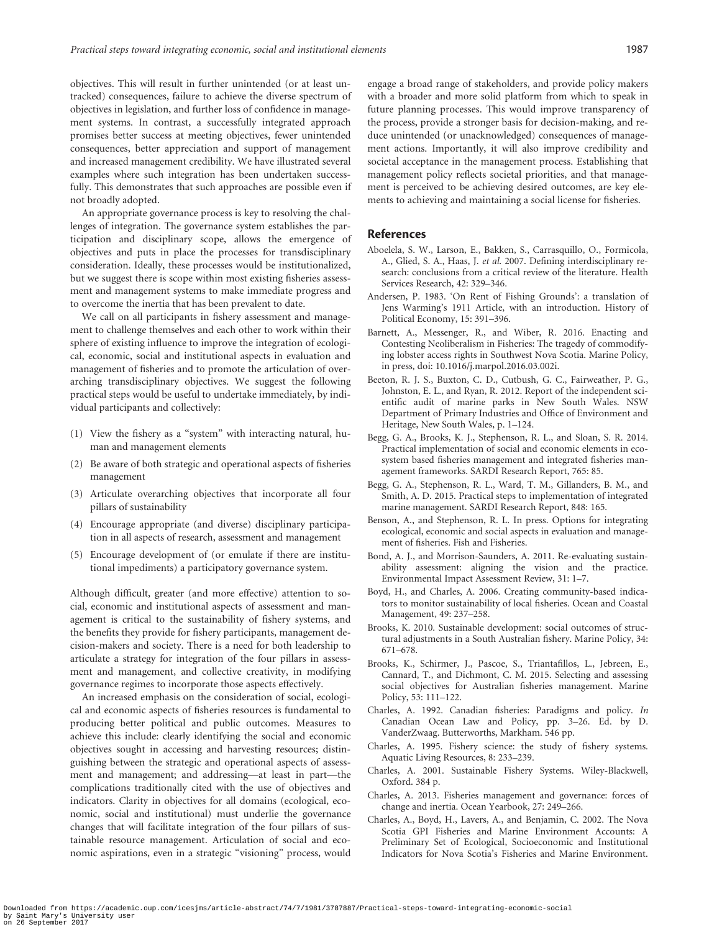<span id="page-6-0"></span>objectives. This will result in further unintended (or at least untracked) consequences, failure to achieve the diverse spectrum of objectives in legislation, and further loss of confidence in management systems. In contrast, a successfully integrated approach promises better success at meeting objectives, fewer unintended consequences, better appreciation and support of management and increased management credibility. We have illustrated several examples where such integration has been undertaken successfully. This demonstrates that such approaches are possible even if not broadly adopted.

An appropriate governance process is key to resolving the challenges of integration. The governance system establishes the participation and disciplinary scope, allows the emergence of objectives and puts in place the processes for transdisciplinary consideration. Ideally, these processes would be institutionalized, but we suggest there is scope within most existing fisheries assessment and management systems to make immediate progress and to overcome the inertia that has been prevalent to date.

We call on all participants in fishery assessment and management to challenge themselves and each other to work within their sphere of existing influence to improve the integration of ecological, economic, social and institutional aspects in evaluation and management of fisheries and to promote the articulation of overarching transdisciplinary objectives. We suggest the following practical steps would be useful to undertake immediately, by individual participants and collectively:

- (1) View the fishery as a "system" with interacting natural, human and management elements
- (2) Be aware of both strategic and operational aspects of fisheries management
- (3) Articulate overarching objectives that incorporate all four pillars of sustainability
- (4) Encourage appropriate (and diverse) disciplinary participation in all aspects of research, assessment and management
- (5) Encourage development of (or emulate if there are institutional impediments) a participatory governance system.

Although difficult, greater (and more effective) attention to social, economic and institutional aspects of assessment and management is critical to the sustainability of fishery systems, and the benefits they provide for fishery participants, management decision-makers and society. There is a need for both leadership to articulate a strategy for integration of the four pillars in assessment and management, and collective creativity, in modifying governance regimes to incorporate those aspects effectively.

An increased emphasis on the consideration of social, ecological and economic aspects of fisheries resources is fundamental to producing better political and public outcomes. Measures to achieve this include: clearly identifying the social and economic objectives sought in accessing and harvesting resources; distinguishing between the strategic and operational aspects of assessment and management; and addressing—at least in part—the complications traditionally cited with the use of objectives and indicators. Clarity in objectives for all domains (ecological, economic, social and institutional) must underlie the governance changes that will facilitate integration of the four pillars of sustainable resource management. Articulation of social and economic aspirations, even in a strategic "visioning" process, would engage a broad range of stakeholders, and provide policy makers with a broader and more solid platform from which to speak in future planning processes. This would improve transparency of the process, provide a stronger basis for decision-making, and reduce unintended (or unacknowledged) consequences of management actions. Importantly, it will also improve credibility and societal acceptance in the management process. Establishing that management policy reflects societal priorities, and that management is perceived to be achieving desired outcomes, are key elements to achieving and maintaining a social license for fisheries.

#### References

- Aboelela, S. W., Larson, E., Bakken, S., Carrasquillo, O., Formicola, A., Glied, S. A., Haas, J. et al. 2007. Defining interdisciplinary research: conclusions from a critical review of the literature. Health Services Research, 42: 329–346.
- Andersen, P. 1983. 'On Rent of Fishing Grounds': a translation of Jens Warming's 1911 Article, with an introduction. History of Political Economy, 15: 391–396.
- Barnett, A., Messenger, R., and Wiber, R. 2016. Enacting and Contesting Neoliberalism in Fisheries: The tragedy of commodifying lobster access rights in Southwest Nova Scotia. Marine Policy, in press, doi: 10.1016/j.marpol.2016.03.002i.
- Beeton, R. J. S., Buxton, C. D., Cutbush, G. C., Fairweather, P. G., Johnston, E. L., and Ryan, R. 2012. Report of the independent scientific audit of marine parks in New South Wales. NSW Department of Primary Industries and Office of Environment and Heritage, New South Wales, p. 1–124.
- Begg, G. A., Brooks, K. J., Stephenson, R. L., and Sloan, S. R. 2014. Practical implementation of social and economic elements in ecosystem based fisheries management and integrated fisheries management frameworks. SARDI Research Report, 765: 85.
- Begg, G. A., Stephenson, R. L., Ward, T. M., Gillanders, B. M., and Smith, A. D. 2015. Practical steps to implementation of integrated marine management. SARDI Research Report, 848: 165.
- Benson, A., and Stephenson, R. L. In press. Options for integrating ecological, economic and social aspects in evaluation and management of fisheries. Fish and Fisheries.
- Bond, A. J., and Morrison-Saunders, A. 2011. Re-evaluating sustainability assessment: aligning the vision and the practice. Environmental Impact Assessment Review, 31: 1–7.
- Boyd, H., and Charles, A. 2006. Creating community-based indicators to monitor sustainability of local fisheries. Ocean and Coastal Management, 49: 237–258.
- Brooks, K. 2010. Sustainable development: social outcomes of structural adjustments in a South Australian fishery. Marine Policy, 34: 671–678.
- Brooks, K., Schirmer, J., Pascoe, S., Triantafillos, L., Jebreen, E., Cannard, T., and Dichmont, C. M. 2015. Selecting and assessing social objectives for Australian fisheries management. Marine Policy, 53: 111–122.
- Charles, A. 1992. Canadian fisheries: Paradigms and policy. In Canadian Ocean Law and Policy, pp. 3–26. Ed. by D. VanderZwaag. Butterworths, Markham. 546 pp.
- Charles, A. 1995. Fishery science: the study of fishery systems. Aquatic Living Resources, 8: 233–239.
- Charles, A. 2001. Sustainable Fishery Systems. Wiley-Blackwell, Oxford. 384 p.
- Charles, A. 2013. Fisheries management and governance: forces of change and inertia. Ocean Yearbook, 27: 249–266.
- Charles, A., Boyd, H., Lavers, A., and Benjamin, C. 2002. The Nova Scotia GPI Fisheries and Marine Environment Accounts: A Preliminary Set of Ecological, Socioeconomic and Institutional Indicators for Nova Scotia's Fisheries and Marine Environment.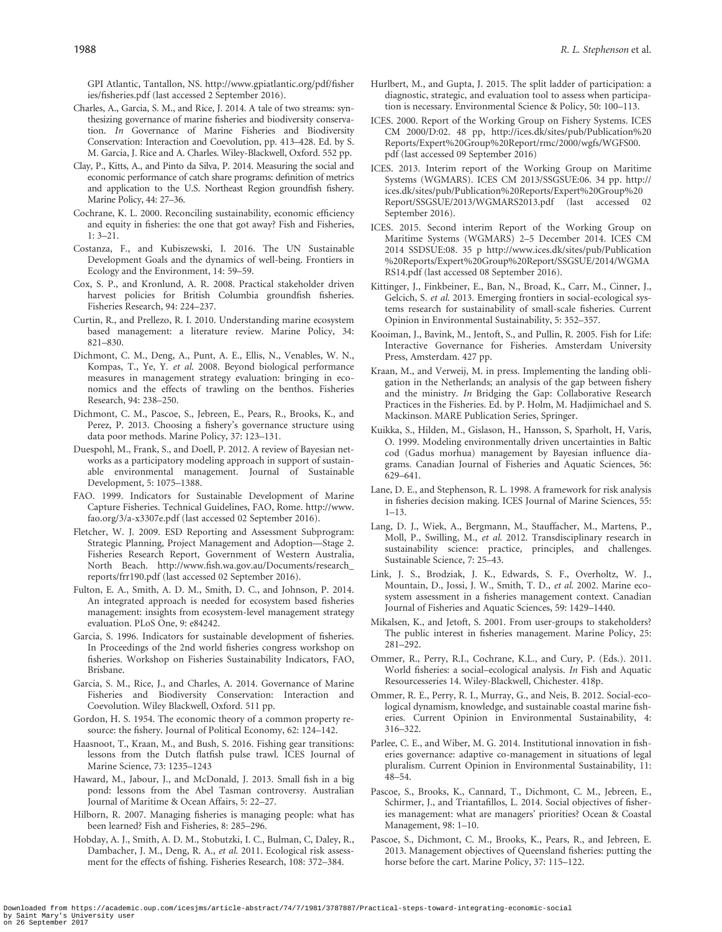<span id="page-7-0"></span>GPI Atlantic, Tantallon, NS. [http://www.gpiatlantic.org/pdf/fisher](http://www.gpiatlantic.org/pdf/fisheries/fisheries.pdf) [ies/fisheries.pdf](http://www.gpiatlantic.org/pdf/fisheries/fisheries.pdf) (last accessed 2 September 2016).

- Charles, A., Garcia, S. M., and Rice, J. 2014. A tale of two streams: synthesizing governance of marine fisheries and biodiversity conservation. In Governance of Marine Fisheries and Biodiversity Conservation: Interaction and Coevolution, pp. 413–428. Ed. by S. M. Garcia, J. Rice and A. Charles. Wiley-Blackwell, Oxford. 552 pp.
- Clay, P., Kitts, A., and Pinto da Silva, P. 2014. Measuring the social and economic performance of catch share programs: definition of metrics and application to the U.S. Northeast Region groundfish fishery. Marine Policy, 44: 27–36.
- Cochrane, K. L. 2000. Reconciling sustainability, economic efficiency and equity in fisheries: the one that got away? Fish and Fisheries,  $1: 3-21.$
- Costanza, F., and Kubiszewski, I. 2016. The UN Sustainable Development Goals and the dynamics of well-being. Frontiers in Ecology and the Environment, 14: 59–59.
- Cox, S. P., and Kronlund, A. R. 2008. Practical stakeholder driven harvest policies for British Columbia groundfish fisheries. Fisheries Research, 94: 224–237.
- Curtin, R., and Prellezo, R. I. 2010. Understanding marine ecosystem based management: a literature review. Marine Policy, 34: 821–830.
- Dichmont, C. M., Deng, A., Punt, A. E., Ellis, N., Venables, W. N., Kompas, T., Ye, Y. et al. 2008. Beyond biological performance measures in management strategy evaluation: bringing in economics and the effects of trawling on the benthos. Fisheries Research, 94: 238–250.
- Dichmont, C. M., Pascoe, S., Jebreen, E., Pears, R., Brooks, K., and Perez, P. 2013. Choosing a fishery's governance structure using data poor methods. Marine Policy, 37: 123–131.
- Duespohl, M., Frank, S., and Doell, P. 2012. A review of Bayesian networks as a participatory modeling approach in support of sustainable environmental management. Journal of Sustainable Development, 5: 1075–1388.
- FAO. 1999. Indicators for Sustainable Development of Marine Capture Fisheries. Technical Guidelines, FAO, Rome. [http://www.](http://www.fao.org/3/a-x3307e.pdf) [fao.org/3/a-x3307e.pdf](http://www.fao.org/3/a-x3307e.pdf) (last accessed 02 September 2016).
- Fletcher, W. J. 2009. ESD Reporting and Assessment Subprogram: Strategic Planning, Project Management and Adoption—Stage 2. Fisheries Research Report, Government of Western Australia, North Beach. [http://www.fish.wa.gov.au/Documents/research\\_](http://www.fish.wa.gov.au/Documents/research_reports/frr190.pdf) [reports/frr190.pdf](http://www.fish.wa.gov.au/Documents/research_reports/frr190.pdf) (last accessed 02 September 2016).
- Fulton, E. A., Smith, A. D. M., Smith, D. C., and Johnson, P. 2014. An integrated approach is needed for ecosystem based fisheries management: insights from ecosystem-level management strategy evaluation. PLoS One, 9: e84242.
- Garcia, S. 1996. Indicators for sustainable development of fisheries. In Proceedings of the 2nd world fisheries congress workshop on fisheries. Workshop on Fisheries Sustainability Indicators, FAO, Brisbane.
- Garcia, S. M., Rice, J., and Charles, A. 2014. Governance of Marine Fisheries and Biodiversity Conservation: Interaction and Coevolution. Wiley Blackwell, Oxford. 511 pp.
- Gordon, H. S. 1954. The economic theory of a common property resource: the fishery. Journal of Political Economy, 62: 124–142.
- Haasnoot, T., Kraan, M., and Bush, S. 2016. Fishing gear transitions: lessons from the Dutch flatfish pulse trawl. ICES Journal of Marine Science, 73: 1235–1243
- Haward, M., Jabour, J., and McDonald, J. 2013. Small fish in a big pond: lessons from the Abel Tasman controversy. Australian Journal of Maritime & Ocean Affairs, 5: 22–27.
- Hilborn, R. 2007. Managing fisheries is managing people: what has been learned? Fish and Fisheries, 8: 285–296.
- Hobday, A. J., Smith, A. D. M., Stobutzki, I. C., Bulman, C, Daley, R., Dambacher, J. M., Deng, R. A., et al. 2011. Ecological risk assessment for the effects of fishing. Fisheries Research, 108: 372–384.
- Hurlbert, M., and Gupta, J. 2015. The split ladder of participation: a diagnostic, strategic, and evaluation tool to assess when participation is necessary. Environmental Science & Policy, 50: 100–113.
- ICES. 2000. Report of the Working Group on Fishery Systems. ICES CM 2000/D:02. 48 pp, [http://ices.dk/sites/pub/Publication](http://ices.dk/sites/pub/Publication%20Reports/Expert%20Group%20Report/rmc/2000/wgfs/WGFS00.pdf)%[20](http://ices.dk/sites/pub/Publication%20Reports/Expert%20Group%20Report/rmc/2000/wgfs/WGFS00.pdf) [Reports/Expert%20Group%20Report/rmc/2000/wgfs/WGFS00.](http://ices.dk/sites/pub/Publication%20Reports/Expert%20Group%20Report/rmc/2000/wgfs/WGFS00.pdf) [pdf](http://ices.dk/sites/pub/Publication%20Reports/Expert%20Group%20Report/rmc/2000/wgfs/WGFS00.pdf) (last accessed 09 September 2016)
- ICES. 2013. Interim report of the Working Group on Maritime Systems (WGMARS). ICES CM 2013/SSGSUE:06. 34 pp. [http://](http://ices.dk/sites/pub/Publication%20Reports/Expert%20Group%20Report/SSGSUE/2013/WGMARS2013.pdf) [ices.dk/sites/pub/Publication%20Reports/Expert%20Group%20](http://ices.dk/sites/pub/Publication%20Reports/Expert%20Group%20Report/SSGSUE/2013/WGMARS2013.pdf) [Report/SSGSUE/2013/WGMARS2013.pdf](http://ices.dk/sites/pub/Publication%20Reports/Expert%20Group%20Report/SSGSUE/2013/WGMARS2013.pdf) (last accessed 02 September 2016).
- ICES. 2015. Second interim Report of the Working Group on Maritime Systems (WGMARS) 2–5 December 2014. ICES CM 2014 SSDSUE:08. 35 p http://www.ices.dk/sites/pub/Publication %20Reports/Expert%20Group%20Report/SSGSUE/2014/WGMA RS14.pdf (last accessed 08 September 2016).
- Kittinger, J., Finkbeiner, E., Ban, N., Broad, K., Carr, M., Cinner, J., Gelcich, S. et al. 2013. Emerging frontiers in social-ecological systems research for sustainability of small-scale fisheries. Current Opinion in Environmental Sustainability, 5: 352–357.
- Kooiman, J., Bavink, M., Jentoft, S., and Pullin, R. 2005. Fish for Life: Interactive Governance for Fisheries. Amsterdam University Press, Amsterdam. 427 pp.
- Kraan, M., and Verweij, M. in press. Implementing the landing obligation in the Netherlands; an analysis of the gap between fishery and the ministry. In Bridging the Gap: Collaborative Research Practices in the Fisheries. Ed. by P. Holm, M. Hadjimichael and S. Mackinson. MARE Publication Series, Springer.
- Kuikka, S., Hilden, M., Gislason, H., Hansson, S, Sparholt, H, Varis, O. 1999. Modeling environmentally driven uncertainties in Baltic cod (Gadus morhua) management by Bayesian influence diagrams. Canadian Journal of Fisheries and Aquatic Sciences, 56: 629–641.
- Lane, D. E., and Stephenson, R. L. 1998. A framework for risk analysis in fisheries decision making. ICES Journal of Marine Sciences, 55: 1–13.
- Lang, D. J., Wiek, A., Bergmann, M., Stauffacher, M., Martens, P., Moll, P., Swilling, M., et al. 2012. Transdisciplinary research in sustainability science: practice, principles, and challenges. Sustainable Science, 7: 25–43.
- Link, J. S., Brodziak, J. K., Edwards, S. F., Overholtz, W. J., Mountain, D., Jossi, J. W., Smith, T. D., et al. 2002. Marine ecosystem assessment in a fisheries management context. Canadian Journal of Fisheries and Aquatic Sciences, 59: 1429–1440.
- Mikalsen, K., and Jetoft, S. 2001. From user-groups to stakeholders? The public interest in fisheries management. Marine Policy, 25: 281–292.
- Ommer, R., Perry, R.I., Cochrane, K.L., and Cury, P. (Eds.). 2011. World fisheries: a social–ecological analysis. In Fish and Aquatic Resourcesseries 14. Wiley-Blackwell, Chichester. 418p.
- Ommer, R. E., Perry, R. I., Murray, G., and Neis, B. 2012. Social-ecological dynamism, knowledge, and sustainable coastal marine fisheries. Current Opinion in Environmental Sustainability, 4: 316–322.
- Parlee, C. E., and Wiber, M. G. 2014. Institutional innovation in fisheries governance: adaptive co-management in situations of legal pluralism. Current Opinion in Environmental Sustainability, 11: 48–54.
- Pascoe, S., Brooks, K., Cannard, T., Dichmont, C. M., Jebreen, E., Schirmer, J., and Triantafillos, L. 2014. Social objectives of fisheries management: what are managers' priorities? Ocean & Coastal Management, 98: 1–10.
- Pascoe, S., Dichmont, C. M., Brooks, K., Pears, R., and Jebreen, E. 2013. Management objectives of Queensland fisheries: putting the horse before the cart. Marine Policy, 37: 115–122.